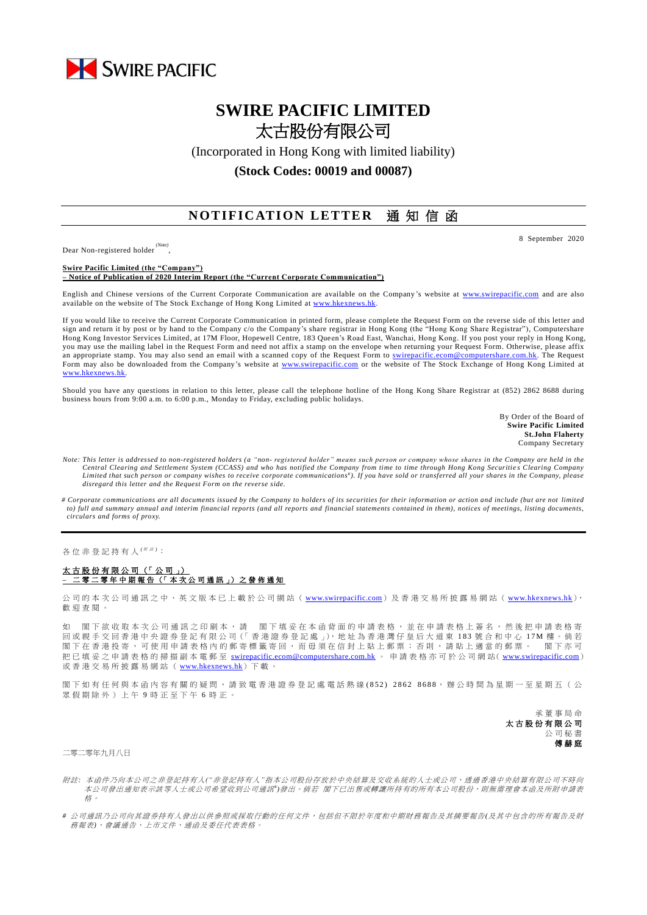

## **SWIRE PACIFIC LIMITED** 太古股份有限公司

(Incorporated in Hong Kong with limited liability)

**(Stock Codes: 00019 and 00087)**

## **NOTIFICATION LETTER** 通知信函

Dear Non-registered holder *(Note)*

,

**Swire Pacific Limited (the "Company") – Notice of Publication of 2020 Interim Report (the "Current Corporate Communication")**

English and Chinese versions of the Current Corporate Communication are available on the Company 's website at [www.swirepacific.com](http://www.swirepacific.com/) and are also available on the website of The Stock Exchange of Hong Kong Limited a[t www.hkexnews.hk.](http://www.hkexnews.hk/)

If you would like to receive the Current Corporate Communication in printed form, please complete the Request Form on the reverse side of this letter and sign and return it by post or by hand to the Company c/o the Company's share registrar in Hong Kong (the "Hong Kong Share Registrar"), Computershare Hong Kong Investor Services Limited, at 17M Floor, Hopewell Centre, 183 Queen's Road East, Wanchai, Hong Kong. If you post your reply in Hong Kong, you may use the mailing label in the Request Form and need not affix a stamp on the envelope when returning your Request Form. Otherwise, please affix an appropriate stamp. You may also send an email with a scanned copy of the Request Form to [swirepacific.ecom@computershare.com.hk.](mailto:swirepacific.ecom@computershare.com.hk) The Request Form may also be downloaded from the Company's website at [www.swirepacific.com](http://www.swirepacific.com/) or the website of The Stock Exchange of Hong Kong Limited at [www.hkexnews.hk.](http://www.hkexnews.hk/)

Should you have any questions in relation to this letter, please call the telephone hotline of the Hong Kong Share Registrar at (852) 2862 8688 during business hours from 9:00 a.m. to 6:00 p.m., Monday to Friday, excluding public holidays.

> By Order of the Board of **Swire Pacific Limited St.John Flaherty** Company Secretary

- *Note: This letter is addressed to non-registered holders (a "non- registered holder" means such person or company whose shares in the Company are held in the Central Clearing and Settlement System (CCASS) and who has notified the Company from time to time through Hong Kong Securitie s Clearing Company*  Limited that such person or company wishes to receive corporate communications<sup>#</sup>). If you have sold or transferred all your shares in the Company, please *disregard this letter and the Request Form on the reverse side.*
- *# Corporate communications are all documents issued by the Company to holders of its securities for their information or action and include (but are not limited to) full and summary annual and interim financial reports (and all reports and financial statements contained in them), notices of meetings, listing documents, circulars and forms of proxy.*

各位非登記持有人<sup>( ##)</sup>:

## 太古股份有限公司 (「 公 司 」) **–** 二 零 二 零 年 中期報告 (「 本 次 公 司 通 訊 」) 之 發 佈 通 知

公司的本次公司通訊之中、英文版本已上載於公司網站 ([www.swirepacific.com](http://www.swirepacific.com/)) 及香港交易所披露易網站 ([www.hkexnews.hk](http://www.hkexnews.hk/)), 歡 迎 查閱。

如 閣下欲收取本次公司通訊之印刷本,請 閣下填妥在本函背面的申請表格,並在申請表格上簽名,然後把申請表格寄 回 或親手交回 香 港 中 央 證 券 登 記 有 限 公 司(「 香 港 證 券 登 記 處 」), 地 址 為 香 港 灣 仔 皇 后 大 道 東 1 8 3 號合和中心 1 7 M 樓 。 倘 若 閣下在香港投寄,可使用申請表格內的郵寄標籤寄回,而毋須在信封上貼上郵票;否則,請貼上適當的郵票。 閣下亦可 把已填妥之申請表格的掃描副本電郵至 [swirepacific.ecom@computershare.com.hk](mailto:swirepacific.ecom@computershare.com.hk) 。 申請表格亦可於公司網站( [www.swirepacific.com](http://www.swirepacific.com/)) 或香港交易所披露易網站 ( [www.hkexnews.hk](http://www.hkexnews.hk/)) 下載。

閣下如有任何與本函內容有關的疑問,請致電香港證券登記處電話熱線(852) 2862 8688,辦公時間為星期一至星期五(公 眾假期除外)上午 9 時正至下午 6 時正。

> 承董事 局 命 太古股份有限公司 公司秘書 傅赫庭

二零二零年九月八日

- 附註*:* 本函件乃向本公司之非登記持有人*("*非登記持有人*"*指本公司股份存放於中央結算及交收系統的人士或公司,透過香港中央結算有限公司不時向 本公司發出通知表示該等人士或公司希望收到公司通訊")發出。倘若 閣下已出售或轉讓所持有的所有本公司股份,則無需理會本函及所附申請表 格。
- *#* 公司通訊乃公司向其證券持有人發出以供參照或採取行動的任何文件,包括但不限於年度和中期財務報告及其摘要報告*(*及其中包含的所有報告及財 務報表*)*、會議通告、上市文件、通函及委任代表表格。

8 September 2020